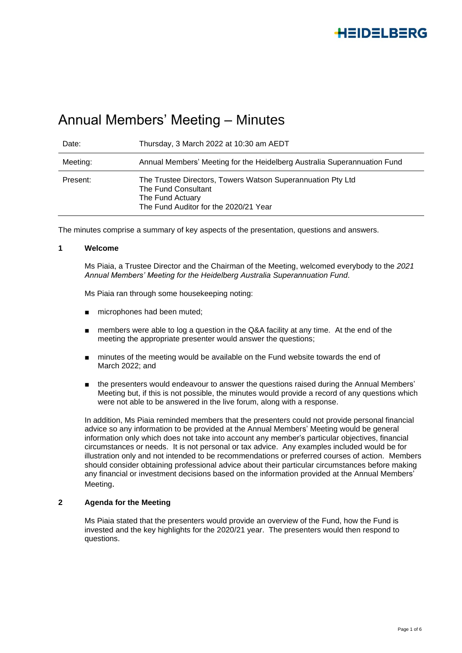# Annual Members' Meeting – Minutes

| Date:    | Thursday, 3 March 2022 at 10:30 am AEDT                                                                                                         |
|----------|-------------------------------------------------------------------------------------------------------------------------------------------------|
| Meeting: | Annual Members' Meeting for the Heidelberg Australia Superannuation Fund                                                                        |
| Present: | The Trustee Directors, Towers Watson Superannuation Pty Ltd<br>The Fund Consultant<br>The Fund Actuary<br>The Fund Auditor for the 2020/21 Year |

The minutes comprise a summary of key aspects of the presentation, questions and answers.

#### **1 Welcome**

Ms Piaia, a Trustee Director and the Chairman of the Meeting, welcomed everybody to the *2021 Annual Members' Meeting for the Heidelberg Australia Superannuation Fund*.

Ms Piaia ran through some housekeeping noting:

- microphones had been muted;
- members were able to log a question in the Q&A facility at any time. At the end of the meeting the appropriate presenter would answer the questions;
- minutes of the meeting would be available on the Fund website towards the end of March 2022; and
- the presenters would endeavour to answer the questions raised during the Annual Members' Meeting but, if this is not possible, the minutes would provide a record of any questions which were not able to be answered in the live forum, along with a response.

In addition, Ms Piaia reminded members that the presenters could not provide personal financial advice so any information to be provided at the Annual Members' Meeting would be general information only which does not take into account any member's particular objectives, financial circumstances or needs. It is not personal or tax advice. Any examples included would be for illustration only and not intended to be recommendations or preferred courses of action. Members should consider obtaining professional advice about their particular circumstances before making any financial or investment decisions based on the information provided at the Annual Members' Meeting.

### **2 Agenda for the Meeting**

Ms Piaia stated that the presenters would provide an overview of the Fund, how the Fund is invested and the key highlights for the 2020/21 year. The presenters would then respond to questions.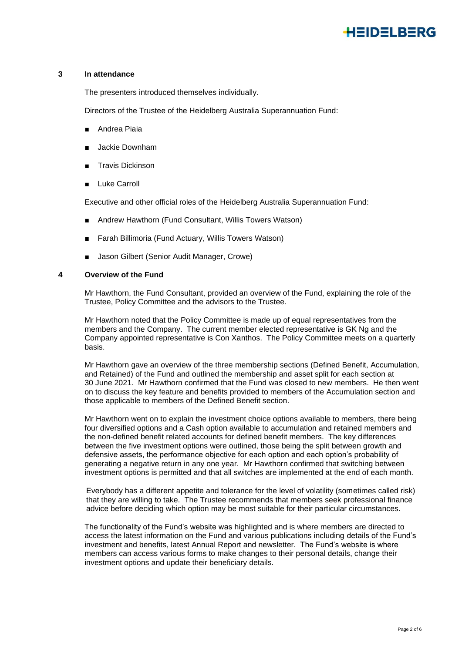#### **3 In attendance**

The presenters introduced themselves individually.

Directors of the Trustee of the Heidelberg Australia Superannuation Fund:

- Andrea Piaia
- Jackie Downham
- Travis Dickinson
- Luke Carroll

Executive and other official roles of the Heidelberg Australia Superannuation Fund:

- Andrew Hawthorn (Fund Consultant, Willis Towers Watson)
- Farah Billimoria (Fund Actuary, Willis Towers Watson)
- Jason Gilbert (Senior Audit Manager, Crowe)

#### **4 Overview of the Fund**

Mr Hawthorn, the Fund Consultant, provided an overview of the Fund, explaining the role of the Trustee, Policy Committee and the advisors to the Trustee.

Mr Hawthorn noted that the Policy Committee is made up of equal representatives from the members and the Company. The current member elected representative is GK Ng and the Company appointed representative is Con Xanthos. The Policy Committee meets on a quarterly basis.

Mr Hawthorn gave an overview of the three membership sections (Defined Benefit, Accumulation, and Retained) of the Fund and outlined the membership and asset split for each section at 30 June 2021. Mr Hawthorn confirmed that the Fund was closed to new members. He then went on to discuss the key feature and benefits provided to members of the Accumulation section and those applicable to members of the Defined Benefit section.

Mr Hawthorn went on to explain the investment choice options available to members, there being four diversified options and a Cash option available to accumulation and retained members and the non-defined benefit related accounts for defined benefit members. The key differences between the five investment options were outlined, those being the split between growth and defensive assets, the performance objective for each option and each option's probability of generating a negative return in any one year. Mr Hawthorn confirmed that switching between investment options is permitted and that all switches are implemented at the end of each month.

Everybody has a different appetite and tolerance for the level of volatility (sometimes called risk) that they are willing to take. The Trustee recommends that members seek professional finance advice before deciding which option may be most suitable for their particular circumstances.

The functionality of the Fund's website was highlighted and is where members are directed to access the latest information on the Fund and various publications including details of the Fund's investment and benefits, latest Annual Report and newsletter. The Fund's website is where members can access various forms to make changes to their personal details, change their investment options and update their beneficiary details.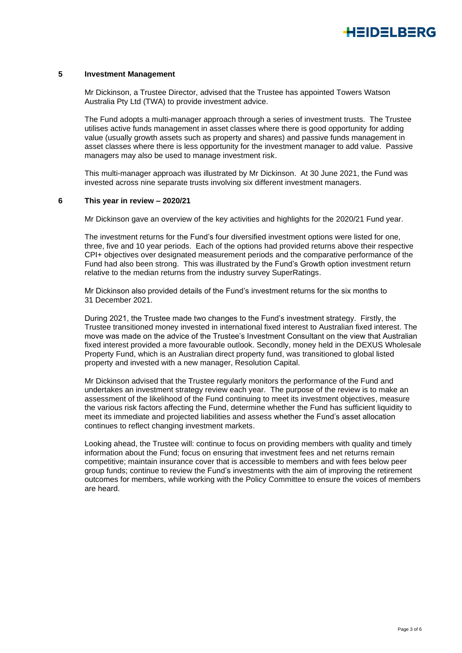#### **5 Investment Management**

Mr Dickinson, a Trustee Director, advised that the Trustee has appointed Towers Watson Australia Pty Ltd (TWA) to provide investment advice.

The Fund adopts a multi-manager approach through a series of investment trusts. The Trustee utilises active funds management in asset classes where there is good opportunity for adding value (usually growth assets such as property and shares) and passive funds management in asset classes where there is less opportunity for the investment manager to add value. Passive managers may also be used to manage investment risk.

This multi-manager approach was illustrated by Mr Dickinson. At 30 June 2021, the Fund was invested across nine separate trusts involving six different investment managers.

#### **6 This year in review – 2020/21**

Mr Dickinson gave an overview of the key activities and highlights for the 2020/21 Fund year.

The investment returns for the Fund's four diversified investment options were listed for one, three, five and 10 year periods. Each of the options had provided returns above their respective CPI+ objectives over designated measurement periods and the comparative performance of the Fund had also been strong. This was illustrated by the Fund's Growth option investment return relative to the median returns from the industry survey SuperRatings.

Mr Dickinson also provided details of the Fund's investment returns for the six months to 31 December 2021.

During 2021, the Trustee made two changes to the Fund's investment strategy. Firstly, the Trustee transitioned money invested in international fixed interest to Australian fixed interest. The move was made on the advice of the Trustee's Investment Consultant on the view that Australian fixed interest provided a more favourable outlook. Secondly, money held in the DEXUS Wholesale Property Fund, which is an Australian direct property fund, was transitioned to global listed property and invested with a new manager, Resolution Capital.

Mr Dickinson advised that the Trustee regularly monitors the performance of the Fund and undertakes an investment strategy review each year. The purpose of the review is to make an assessment of the likelihood of the Fund continuing to meet its investment objectives, measure the various risk factors affecting the Fund, determine whether the Fund has sufficient liquidity to meet its immediate and projected liabilities and assess whether the Fund's asset allocation continues to reflect changing investment markets.

Looking ahead, the Trustee will: continue to focus on providing members with quality and timely information about the Fund; focus on ensuring that investment fees and net returns remain competitive; maintain insurance cover that is accessible to members and with fees below peer group funds; continue to review the Fund's investments with the aim of improving the retirement outcomes for members, while working with the Policy Committee to ensure the voices of members are heard.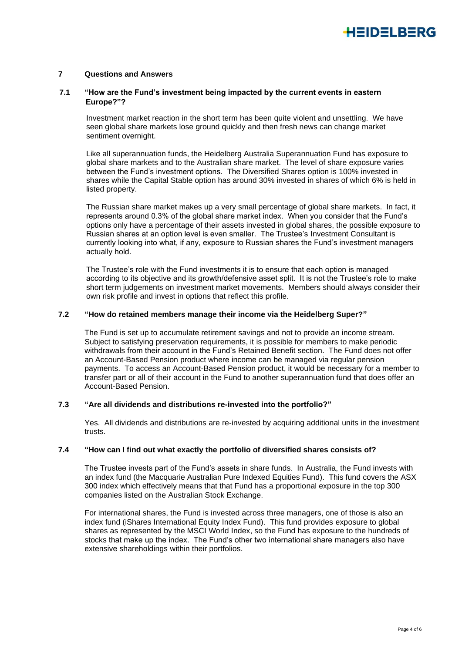#### **7 Questions and Answers**

#### **7.1 "How are the Fund's investment being impacted by the current events in eastern Europe?"?**

Investment market reaction in the short term has been quite violent and unsettling. We have seen global share markets lose ground quickly and then fresh news can change market sentiment overnight.

Like all superannuation funds, the Heidelberg Australia Superannuation Fund has exposure to global share markets and to the Australian share market. The level of share exposure varies between the Fund's investment options. The Diversified Shares option is 100% invested in shares while the Capital Stable option has around 30% invested in shares of which 6% is held in listed property.

The Russian share market makes up a very small percentage of global share markets. In fact, it represents around 0.3% of the global share market index. When you consider that the Fund's options only have a percentage of their assets invested in global shares, the possible exposure to Russian shares at an option level is even smaller. The Trustee's Investment Consultant is currently looking into what, if any, exposure to Russian shares the Fund's investment managers actually hold.

The Trustee's role with the Fund investments it is to ensure that each option is managed according to its objective and its growth/defensive asset split. It is not the Trustee's role to make short term judgements on investment market movements. Members should always consider their own risk profile and invest in options that reflect this profile.

### **7.2 "How do retained members manage their income via the Heidelberg Super?"**

The Fund is set up to accumulate retirement savings and not to provide an income stream. Subject to satisfying preservation requirements, it is possible for members to make periodic withdrawals from their account in the Fund's Retained Benefit section. The Fund does not offer an Account-Based Pension product where income can be managed via regular pension payments. To access an Account-Based Pension product, it would be necessary for a member to transfer part or all of their account in the Fund to another superannuation fund that does offer an Account-Based Pension.

### **7.3 "Are all dividends and distributions re-invested into the portfolio?"**

Yes. All dividends and distributions are re-invested by acquiring additional units in the investment trusts.

#### **7.4 "How can I find out what exactly the portfolio of diversified shares consists of?**

The Trustee invests part of the Fund's assets in share funds. In Australia, the Fund invests with an index fund (the Macquarie Australian Pure Indexed Equities Fund). This fund covers the ASX 300 index which effectively means that that Fund has a proportional exposure in the top 300 companies listed on the Australian Stock Exchange.

For international shares, the Fund is invested across three managers, one of those is also an index fund (iShares International Equity Index Fund). This fund provides exposure to global shares as represented by the MSCI World Index, so the Fund has exposure to the hundreds of stocks that make up the index. The Fund's other two international share managers also have extensive shareholdings within their portfolios.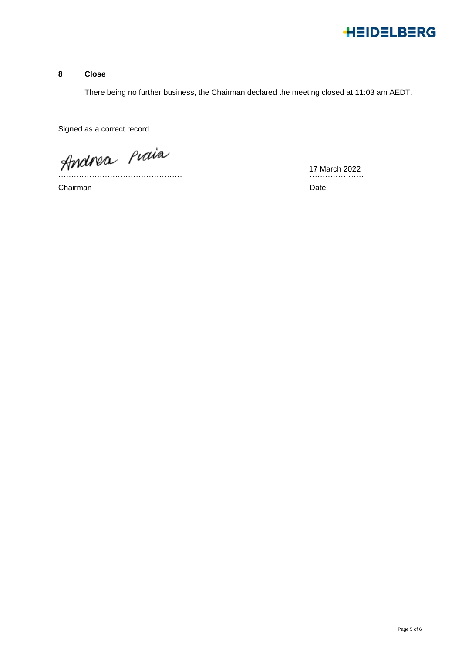

# **8 Close**

There being no further business, the Chairman declared the meeting closed at 11:03 am AEDT.

Signed as a correct record.

Andrea Piaia

Chairman Date **Date** 

17 March 2022